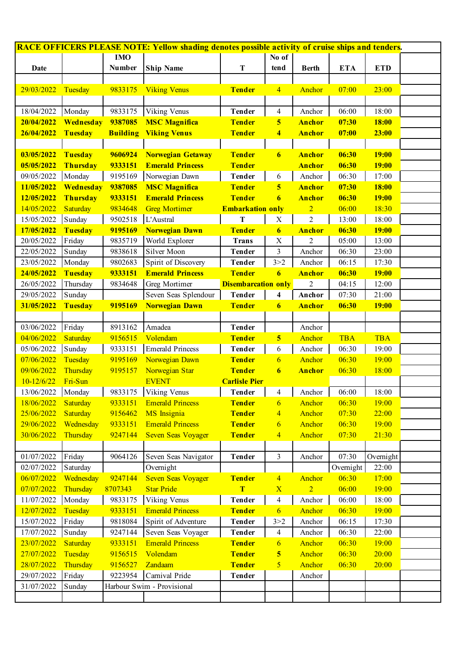| <b>RACE OFFICERS PLEASE NOTE: Yellow shading denotes possible activity of cruise ships and tenders.</b> |                 |                 |                            |                            |                          |                |            |              |  |  |  |
|---------------------------------------------------------------------------------------------------------|-----------------|-----------------|----------------------------|----------------------------|--------------------------|----------------|------------|--------------|--|--|--|
|                                                                                                         |                 | <b>IMO</b>      |                            |                            | No of                    |                |            |              |  |  |  |
| Date                                                                                                    |                 | Number          | <b>Ship Name</b>           | T                          | tend                     | <b>Berth</b>   | <b>ETA</b> | <b>ETD</b>   |  |  |  |
|                                                                                                         |                 |                 |                            |                            |                          |                |            |              |  |  |  |
| 29/03/2022                                                                                              | Tuesday         | 9833175         | <b>Viking Venus</b>        | <b>Tender</b>              | $\overline{4}$           | Anchor         | 07:00      | 23:00        |  |  |  |
|                                                                                                         |                 |                 |                            |                            |                          |                |            |              |  |  |  |
| 18/04/2022                                                                                              | Monday          | 9833175         | Viking Venus               | <b>Tender</b>              | $\overline{4}$           | Anchor         | 06:00      | 18:00        |  |  |  |
| 20/04/2022                                                                                              | Wednesday       | 9387085         | <b>MSC Magnifica</b>       | <b>Tender</b>              | $\overline{\mathbf{5}}$  | <b>Anchor</b>  | 07:30      | <b>18:00</b> |  |  |  |
| 26/04/2022                                                                                              | Tuesday         | <b>Building</b> | <b>Viking Venus</b>        | <b>Tender</b>              | $\overline{\mathbf{4}}$  | <b>Anchor</b>  | 07:00      | 23:00        |  |  |  |
|                                                                                                         |                 |                 |                            |                            |                          |                |            |              |  |  |  |
| 03/05/2022                                                                                              | <b>Tuesday</b>  | 9606924         | <b>Norwegian Getaway</b>   | <b>Tender</b>              | $\overline{6}$           | <b>Anchor</b>  | 06:30      | <b>19:00</b> |  |  |  |
| 05/05/2022                                                                                              | Thursday        | 9333151         | <b>Emerald Princess</b>    | <b>Tender</b>              |                          | <b>Anchor</b>  | 06:30      | <b>19:00</b> |  |  |  |
| 09/05/2022                                                                                              | Monday          | 9195169         | Norwegian Dawn             | <b>Tender</b>              | 6                        | Anchor         | 06:30      | 17:00        |  |  |  |
| 11/05/2022                                                                                              | Wednesday       | 9387085         | <b>MSC Magnifica</b>       | <b>Tender</b>              | $\overline{\mathbf{5}}$  | <b>Anchor</b>  | 07:30      | <b>18:00</b> |  |  |  |
| 12/05/2022                                                                                              | Thursday        | 9333151         | <b>Emerald Princess</b>    | <b>Tender</b>              | $\overline{6}$           | <b>Anchor</b>  | 06:30      | <b>19:00</b> |  |  |  |
| 14/05/2022                                                                                              | Saturday        | 9834648         | <b>Greg Mortimer</b>       | <b>Embarkation only</b>    |                          | $\overline{2}$ | 06:00      | 18:30        |  |  |  |
| 15/05/2022                                                                                              | Sunday          | 9502518         | L'Austral                  | ${\bf T}$                  | $\mathbf X$              | $\overline{2}$ | 13:00      | 18:00        |  |  |  |
| 17/05/2022                                                                                              | <b>Tuesday</b>  | 9195169         | <b>Norwegian Dawn</b>      | <b>Tender</b>              | $\boldsymbol{6}$         | <b>Anchor</b>  | 06:30      | <b>19:00</b> |  |  |  |
| 20/05/2022                                                                                              | Friday          | 9835719         | World Explorer             | <b>Trans</b>               | $\mathbf X$              | 2              | 05:00      | 13:00        |  |  |  |
| 22/05/2022                                                                                              | Sunday          | 9838618         | Silver Moon                | <b>Tender</b>              | $\overline{\mathbf{3}}$  | Anchor         | 06:30      | 23:00        |  |  |  |
| 23/05/2022                                                                                              | Monday          | 9802683         | Spirit of Discovery        | <b>Tender</b>              | 3 > 2                    | Anchor         | 06:15      | 17:30        |  |  |  |
| 24/05/2022                                                                                              | <b>Tuesday</b>  | 9333151         | <b>Emerald Princess</b>    | <b>Tender</b>              | 6                        | <b>Anchor</b>  | 06:30      | <b>19:00</b> |  |  |  |
| 26/05/2022                                                                                              | Thursday        | 9834648         | Greg Mortimer              | <b>Disembarcation only</b> |                          | $\overline{c}$ | 04:15      | 12:00        |  |  |  |
| 29/05/2022                                                                                              | Sunday          |                 | Seven Seas Splendour       | <b>Tender</b>              | $\overline{\mathbf{4}}$  | Anchor         | 07:30      | 21:00        |  |  |  |
| 31/05/2022                                                                                              | <b>Tuesday</b>  | 9195169         | Norwegian Dawn             | <b>Tender</b>              | $\boldsymbol{6}$         | <b>Anchor</b>  | 06:30      | <b>19:00</b> |  |  |  |
|                                                                                                         |                 |                 |                            |                            |                          |                |            |              |  |  |  |
| 03/06/2022                                                                                              | Friday          | 8913162         | Amadea                     | <b>Tender</b>              |                          | Anchor         |            |              |  |  |  |
| 04/06/2022                                                                                              | Saturday        | 9156515         | Volendam                   | <b>Tender</b>              | $\overline{\mathbf{5}}$  | Anchor         | <b>TBA</b> | <b>TBA</b>   |  |  |  |
| 05/06/2022                                                                                              | Sunday          | 9333151         | <b>Emerald Princess</b>    | <b>Tender</b>              | 6                        | Anchor         | 06:30      | 19:00        |  |  |  |
| 07/06/2022                                                                                              | Tuesday         | 9195169         | Norwegian Dawn             | <b>Tender</b>              | $\overline{6}$           | Anchor         | 06:30      | 19:00        |  |  |  |
| 09/06/2022                                                                                              | Thursday        | 9195157         | Norwegian Star             | <b>Tender</b>              | $\boldsymbol{6}$         | <b>Anchor</b>  | 06:30      | 18:00        |  |  |  |
| $10 - 12/6/22$                                                                                          | Fri-Sun         |                 | <b>EVENT</b>               | <b>Carlisle Pier</b>       |                          |                |            |              |  |  |  |
| 13/06/2022                                                                                              | Monday          | 9833175         | Viking Venus               | <b>Tender</b>              | $\overline{\mathcal{A}}$ | Anchor         | 06:00      | 18:00        |  |  |  |
| 18/06/2022                                                                                              | Saturday        | 9333151         | <b>Emerald Princess</b>    | <b>Tender</b>              | 6                        | Anchor         | 06:30      | 19:00        |  |  |  |
| 25/06/2022                                                                                              | <b>Saturday</b> | 9156462         | <b>MS</b> Insignia         | <b>Tender</b>              | $\overline{\mathbf{4}}$  | Anchor         | 07:30      | 22:00        |  |  |  |
| 29/06/2022                                                                                              | Wednesday       | 9333151         | <b>Emerald Princess</b>    | <b>Tender</b>              | $\overline{6}$           | Anchor         | 06:30      | 19:00        |  |  |  |
| 30/06/2022                                                                                              | Thursday        | 9247144         | <b>Seven Seas Voyager</b>  | <b>Tender</b>              | $\overline{4}$           | Anchor         | 07:30      | 21:30        |  |  |  |
|                                                                                                         |                 |                 |                            |                            |                          |                |            |              |  |  |  |
| 01/07/2022                                                                                              | Friday          | 9064126         | Seven Seas Navigator       | <b>Tender</b>              | 3                        | Anchor         | 07:30      | Overnight    |  |  |  |
| 02/07/2022                                                                                              | Saturday        |                 | Overnight                  |                            |                          |                | Overnight  | 22:00        |  |  |  |
| 06/07/2022                                                                                              | Wednesday       | 9247144         | <b>Seven Seas Voyager</b>  | <b>Tender</b>              | $\overline{4}$           | Anchor         | 06:30      | 17:00        |  |  |  |
| 07/07/2022                                                                                              | Thursday        | 8707343         | <b>Star Pride</b>          | T                          | $\overline{\mathbf{X}}$  | $\overline{2}$ | 06:00      | 19:00        |  |  |  |
| 11/07/2022                                                                                              | Monday          | 9833175         | Viking Venus               | <b>Tender</b>              | $\overline{4}$           | Anchor         | 06:00      | 18:00        |  |  |  |
| 12/07/2022                                                                                              | Tuesday         | 9333151         | <b>Emerald Princess</b>    | <b>Tender</b>              | $\overline{6}$           | Anchor         | 06:30      | 19:00        |  |  |  |
| 15/07/2022                                                                                              | Friday          | 9818084         | Spirit of Adventure        | <b>Tender</b>              | 3 > 2                    | Anchor         | 06:15      | 17:30        |  |  |  |
| 17/07/2022                                                                                              | Sunday          | 9247144         | Seven Seas Voyager         | Tender                     | $\overline{4}$           | Anchor         | 06:30      | 22:00        |  |  |  |
| 23/07/2022                                                                                              | Saturday        | 9333151         | <b>Emerald Princess</b>    | <b>Tender</b>              | $\overline{6}$           | Anchor         | 06:30      | 19:00        |  |  |  |
| 27/07/2022                                                                                              | Tuesday         | 9156515         | Volendam                   | <b>Tender</b>              | $\overline{\mathbf{5}}$  | Anchor         | 06:30      | 20:00        |  |  |  |
| 28/07/2022                                                                                              | Thursday        | 9156527         | Zandaam                    | <b>Tender</b>              | $\overline{5}$           | Anchor         | 06:30      | 20:00        |  |  |  |
| 29/07/2022                                                                                              | Friday          | 9223954         | Carnival Pride             | Tender                     |                          | Anchor         |            |              |  |  |  |
| 31/07/2022                                                                                              | Sunday          |                 | Harbour Swim - Provisional |                            |                          |                |            |              |  |  |  |
|                                                                                                         |                 |                 |                            |                            |                          |                |            |              |  |  |  |
|                                                                                                         |                 |                 |                            |                            |                          |                |            |              |  |  |  |